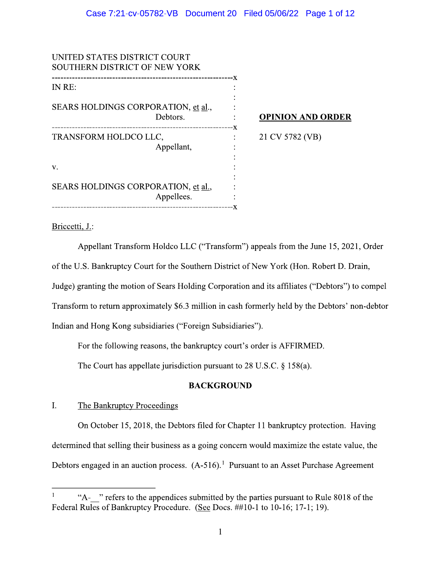| UNITED STATES DISTRICT COURT<br><b>SOUTHERN DISTRICT OF NEW YORK</b>                            |                          |
|-------------------------------------------------------------------------------------------------|--------------------------|
| IN RE:                                                                                          | -X                       |
| SEARS HOLDINGS CORPORATION, et al.,<br>Debtors.                                                 | <b>OPINION AND ORDER</b> |
| ---------------------------------<br>-------------------<br>TRANSFORM HOLDCO LLC,<br>Appellant, | -х<br>21 CV 5782 (VB)    |
| V.                                                                                              |                          |
| SEARS HOLDINGS CORPORATION, et al.,<br>Appellees.                                               |                          |
|                                                                                                 |                          |

# Briccetti, J.:

Appellant Transform Holdco LLC ("Transform") appeals from the June 15, 2021, Order of the U.S. Bankruptcy Court for the Southern District of New York (Hon. Robert D. Drain, Judge) granting the motion of Sears Holding Corporation and its affiliates ("Debtors") to compel Transform to return approximately \$6.3 million in cash formerly held by the Debtors' non-debtor Indian and Hong Kong subsidiaries ("Foreign Subsidiaries").

For the following reasons, the bankruptcy court's order is AFFIRMED.

The Court has appellate jurisdiction pursuant to 28 U.S.C.  $\S$  158(a).

# **BACKGROUND**

### $\mathbf{I}$ . The Bankruptcy Proceedings

On October 15, 2018, the Debtors filed for Chapter 11 bankruptcy protection. Having determined that selling their business as a going concern would maximize the estate value, the Debtors engaged in an auction process.  $(A-516)^1$  Pursuant to an Asset Purchase Agreement

<sup>&</sup>quot;A- " refers to the appendices submitted by the parties pursuant to Rule 8018 of the Federal Rules of Bankruptcy Procedure. (See Docs. ##10-1 to 10-16; 17-1; 19).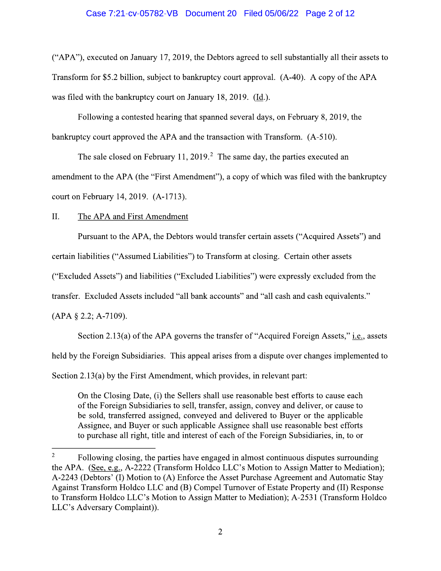## Case 7:21-cv-05782-VB Document 20 Filed 05/06/22 Page 2 of 12

("APA"), executed on January 17, 2019, the Debtors agreed to sell substantially all their assets to Transform for \$5.2 billion, subject to bankruptcy court approval. (A-40). A copy of the APA was filed with the bankruptcy court on January 18, 2019. (Id.).

Following a contested hearing that spanned several days, on February 8, 2019, the bankruptcy court approved the APA and the transaction with Transform. (A-510).

The sale closed on February 11, 2019.<sup>2</sup> The same day, the parties executed an

amendment to the APA (the "First Amendment"), a copy of which was filed with the bankruptcy court on February 14, 2019. (A-1713).

#### II. The APA and First Amendment

Pursuant to the APA, the Debtors would transfer certain assets ("Acquired Assets") and

certain liabilities ("Assumed Liabilities") to Transform at closing. Certain other assets

("Excluded Assets") and liabilities ("Excluded Liabilities") were expressly excluded from the

transfer. Excluded Assets included "all bank accounts" and "all cash and cash equivalents."

 $(APA § 2.2; A-7109).$ 

Section 2.13(a) of the APA governs the transfer of "Acquired Foreign Assets," *i.e.*, assets

held by the Foreign Subsidiaries. This appeal arises from a dispute over changes implemented to

Section 2.13(a) by the First Amendment, which provides, in relevant part:

On the Closing Date, (i) the Sellers shall use reasonable best efforts to cause each of the Foreign Subsidiaries to sell, transfer, assign, convey and deliver, or cause to be sold, transferred assigned, conveyed and delivered to Buyer or the applicable Assignee, and Buyer or such applicable Assignee shall use reasonable best efforts to purchase all right, title and interest of each of the Foreign Subsidiaries, in, to or

 $\overline{2}$ Following closing, the parties have engaged in almost continuous disputes surrounding the APA. (See, e.g., A-2222 (Transform Holdco LLC's Motion to Assign Matter to Mediation); A-2243 (Debtors' (I) Motion to (A) Enforce the Asset Purchase Agreement and Automatic Stay Against Transform Holdco LLC and (B) Compel Turnover of Estate Property and (II) Response to Transform Holdco LLC's Motion to Assign Matter to Mediation); A-2531 (Transform Holdco LLC's Adversary Complaint)).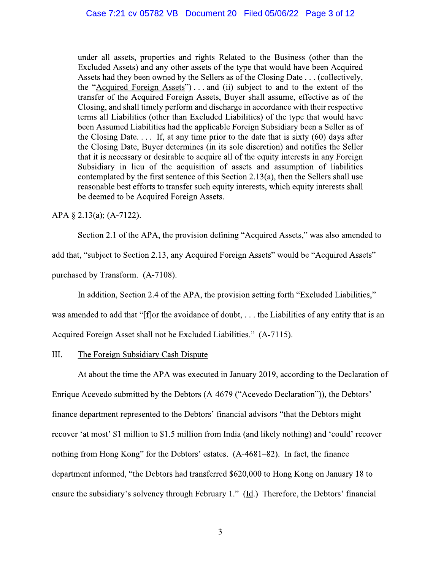under all assets, properties and rights Related to the Business (other than the Excluded Assets) and any other assets of the type that would have been Acquired Assets had they been owned by the Sellers as of the Closing Date . . . (collectively, the "Acquired Foreign Assets")...and (ii) subject to and to the extent of the transfer of the Acquired Foreign Assets, Buyer shall assume, effective as of the Closing, and shall timely perform and discharge in accordance with their respective terms all Liabilities (other than Excluded Liabilities) of the type that would have been Assumed Liabilities had the applicable Foreign Subsidiary been a Seller as of the Closing Date.... If, at any time prior to the date that is sixty  $(60)$  days after the Closing Date, Buyer determines (in its sole discretion) and notifies the Seller that it is necessary or desirable to acquire all of the equity interests in any Foreign Subsidiary in lieu of the acquisition of assets and assumption of liabilities contemplated by the first sentence of this Section 2.13(a), then the Sellers shall use reasonable best efforts to transfer such equity interests, which equity interests shall be deemed to be Acquired Foreign Assets.

APA  $\S$  2.13(a); (A-7122).

Section 2.1 of the APA, the provision defining "Acquired Assets," was also amended to

add that, "subject to Section 2.13, any Acquired Foreign Assets" would be "Acquired Assets"

purchased by Transform. (A-7108).

In addition, Section 2.4 of the APA, the provision setting forth "Excluded Liabilities,"

was amended to add that "[f] or the avoidance of doubt, ... the Liabilities of any entity that is an

Acquired Foreign Asset shall not be Excluded Liabilities." (A-7115).

#### III. The Foreign Subsidiary Cash Dispute

At about the time the APA was executed in January 2019, according to the Declaration of

Enrique Acevedo submitted by the Debtors (A-4679 ("Acevedo Declaration")), the Debtors'

finance department represented to the Debtors' financial advisors "that the Debtors might

recover 'at most' \$1 million to \$1.5 million from India (and likely nothing) and 'could' recover

nothing from Hong Kong" for the Debtors' estates. (A-4681-82). In fact, the finance

department informed, "the Debtors had transferred \$620,000 to Hong Kong on January 18 to

ensure the subsidiary's solvency through February 1."  $(\underline{Id})$ . Therefore, the Debtors' financial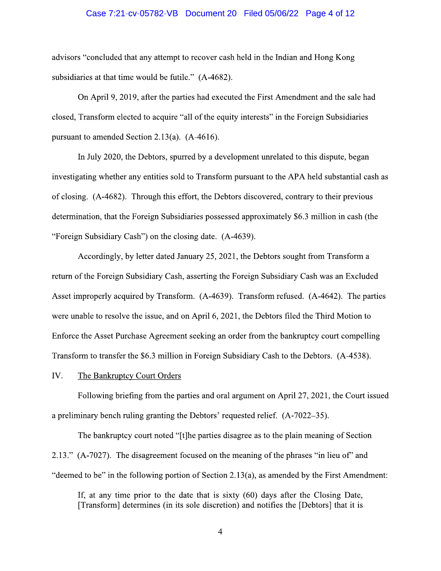### Case 7:21-cv-05782-VB Document 20 Filed 05/06/22 Page 4 of 12

advisors "concluded that any attempt to recover cash held in the Indian and Hong Kong subsidiaries at that time would be futile." (A-4682).

On April 9, 2019, after the parties had executed the First Amendment and the sale had closed, Transform elected to acquire "all of the equity interests" in the Foreign Subsidiaries pursuant to amended Section 2.13(a).  $(A-4616)$ .

In July 2020, the Debtors, spurred by a development unrelated to this dispute, began investigating whether any entities sold to Transform pursuant to the APA held substantial cash as of closing. (A-4682). Through this effort, the Debtors discovered, contrary to their previous determination, that the Foreign Subsidiaries possessed approximately \$6.3 million in cash (the "Foreign Subsidiary Cash") on the closing date. (A-4639).

Accordingly, by letter dated January 25, 2021, the Debtors sought from Transform a return of the Foreign Subsidiary Cash, asserting the Foreign Subsidiary Cash was an Excluded Asset improperly acquired by Transform. (A-4639). Transform refused. (A-4642). The parties were unable to resolve the issue, and on April 6, 2021, the Debtors filed the Third Motion to Enforce the Asset Purchase Agreement seeking an order from the bankruptcy court compelling Transform to transfer the \$6.3 million in Foreign Subsidiary Cash to the Debtors. (A-4538).

IV. The Bankruptcy Court Orders

Following briefing from the parties and oral argument on April 27, 2021, the Court issued a preliminary bench ruling granting the Debtors' requested relief. (A-7022–35).

The bankruptcy court noted "[t] he parties disagree as to the plain meaning of Section 2.13." (A-7027). The disagreement focused on the meaning of the phrases "in lieu of" and "deemed to be" in the following portion of Section 2.13(a), as amended by the First Amendment:

If, at any time prior to the date that is sixty  $(60)$  days after the Closing Date, [Transform] determines (in its sole discretion) and notifies the [Debtors] that it is

 $\overline{4}$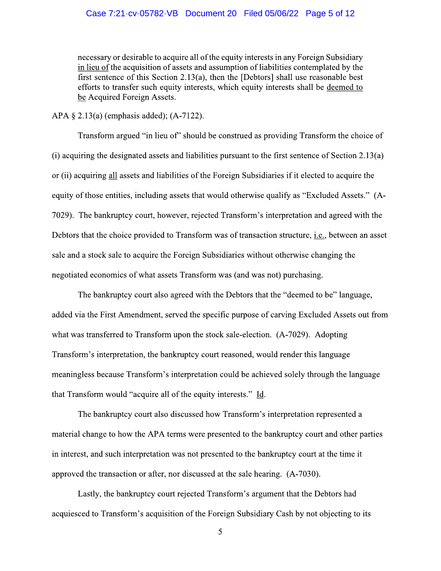# Case 7:21-cv-05782-VB Document 20 Filed 05/06/22 Page 5 of 12

necessary or desirable to acquire all of the equity interests in any Foreign Subsidiary in lieu of the acquisition of assets and assumption of liabilities contemplated by the first sentence of this Section 2.13(a), then the [Debtors] shall use reasonable best efforts to transfer such equity interests, which equity interests shall be deemed to be Acquired Foreign Assets.

APA  $\S$  2.13(a) (emphasis added); (A-7122).

Transform argued "in lieu of" should be construed as providing Transform the choice of (i) acquiring the designated assets and liabilities pursuant to the first sentence of Section 2.13(a) or (ii) acquiring all assets and liabilities of the Foreign Subsidiaries if it elected to acquire the equity of those entities, including assets that would otherwise qualify as "Excluded Assets." (A-7029). The bankruptcy court, however, rejected Transform's interpretation and agreed with the Debtors that the choice provided to Transform was of transaction structure, *i.e.*, between an asset sale and a stock sale to acquire the Foreign Subsidiaries without otherwise changing the negotiated economics of what assets Transform was (and was not) purchasing.

The bankruptcy court also agreed with the Debtors that the "deemed to be" language, added via the First Amendment, served the specific purpose of carving Excluded Assets out from what was transferred to Transform upon the stock sale-election. (A-7029). Adopting Transform's interpretation, the bankruptcy court reasoned, would render this language meaningless because Transform's interpretation could be achieved solely through the language that Transform would "acquire all of the equity interests." Id.

The bankruptcy court also discussed how Transform's interpretation represented a material change to how the APA terms were presented to the bankruptcy court and other parties in interest, and such interpretation was not presented to the bankruptcy court at the time it approved the transaction or after, nor discussed at the sale hearing. (A-7030).

Lastly, the bankruptcy court rejected Transform's argument that the Debtors had acquiesced to Transform's acquisition of the Foreign Subsidiary Cash by not objecting to its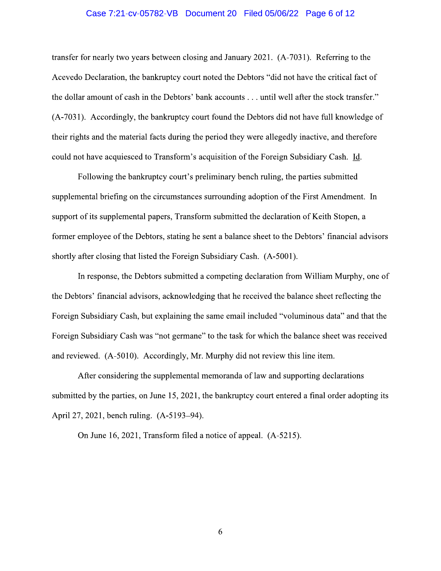## Case 7:21-cv-05782-VB Document 20 Filed 05/06/22 Page 6 of 12

transfer for nearly two years between closing and January 2021. (A-7031). Referring to the Acevedo Declaration, the bankruptcy court noted the Debtors "did not have the critical fact of the dollar amount of cash in the Debtors' bank accounts . . . until well after the stock transfer." (A-7031). Accordingly, the bankruptcy court found the Debtors did not have full knowledge of their rights and the material facts during the period they were allegedly inactive, and therefore could not have acquiesced to Transform's acquisition of the Foreign Subsidiary Cash. Id.

Following the bankruptcy court's preliminary bench ruling, the parties submitted supplemental briefing on the circumstances surrounding adoption of the First Amendment. In support of its supplemental papers, Transform submitted the declaration of Keith Stopen, a former employee of the Debtors, stating he sent a balance sheet to the Debtors' financial advisors shortly after closing that listed the Foreign Subsidiary Cash. (A-5001).

In response, the Debtors submitted a competing declaration from William Murphy, one of the Debtors' financial advisors, acknowledging that he received the balance sheet reflecting the Foreign Subsidiary Cash, but explaining the same email included "voluminous data" and that the Foreign Subsidiary Cash was "not germane" to the task for which the balance sheet was received and reviewed. (A-5010). Accordingly, Mr. Murphy did not review this line item.

After considering the supplemental memoranda of law and supporting declarations submitted by the parties, on June 15, 2021, the bankruptcy court entered a final order adopting its April 27, 2021, bench ruling. (A-5193-94).

On June 16, 2021, Transform filed a notice of appeal. (A-5215).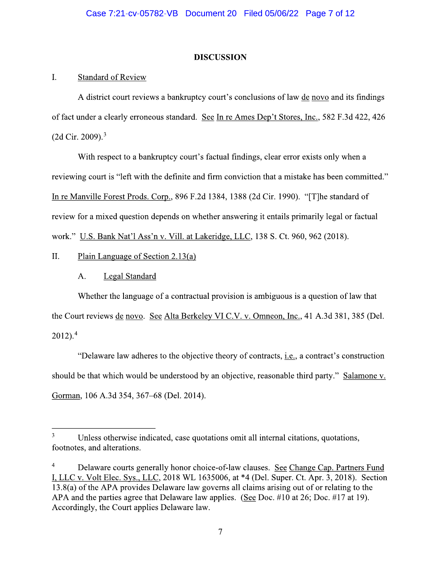# **DISCUSSION**

### **Standard of Review**  $\mathbf{I}$ .

A district court reviews a bankruptcy court's conclusions of law de novo and its findings of fact under a clearly erroneous standard. See In re Ames Dep't Stores, Inc., 582 F.3d 422, 426  $(2d$  Cir. 2009).<sup>3</sup>

With respect to a bankruptcy court's factual findings, clear error exists only when a reviewing court is "left with the definite and firm conviction that a mistake has been committed." In re Manville Forest Prods. Corp., 896 F.2d 1384, 1388 (2d Cir. 1990). "[T]he standard of review for a mixed question depends on whether answering it entails primarily legal or factual work." U.S. Bank Nat'l Ass'n v. Vill. at Lakeridge, LLC, 138 S. Ct. 960, 962 (2018).

Π. Plain Language of Section  $2.13(a)$ 

> **Legal Standard** A.

Whether the language of a contractual provision is ambiguous is a question of law that the Court reviews de novo. See Alta Berkeley VI C.V. v. Omneon, Inc., 41 A.3d 381, 385 (Del.  $2012$ ).<sup>4</sup>

"Delaware law adheres to the objective theory of contracts, *i.e.*, a contract's construction should be that which would be understood by an objective, reasonable third party." Salamone v. Gorman, 106 A.3d 354, 367–68 (Del. 2014).

 $\overline{\mathbf{3}}$ Unless otherwise indicated, case quotations omit all internal citations, quotations, footnotes, and alterations.

<sup>4</sup> Delaware courts generally honor choice-of-law clauses. See Change Cap. Partners Fund I, LLC v. Volt Elec. Sys., LLC, 2018 WL 1635006, at \*4 (Del. Super. Ct. Apr. 3, 2018). Section 13.8(a) of the APA provides Delaware law governs all claims arising out of or relating to the APA and the parties agree that Delaware law applies. (See Doc. #10 at 26; Doc. #17 at 19). Accordingly, the Court applies Delaware law.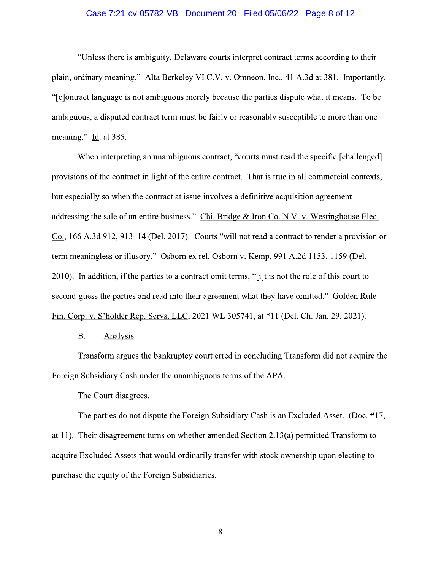## Case 7:21-cv-05782-VB Document 20 Filed 05/06/22 Page 8 of 12

"Unless there is ambiguity, Delaware courts interpret contract terms according to their plain, ordinary meaning." Alta Berkeley VI C.V. v. Omneon, Inc., 41 A.3d at 381. Importantly, "[c] ontract language is not ambiguous merely because the parties dispute what it means. To be ambiguous, a disputed contract term must be fairly or reasonably susceptible to more than one meaning." Id. at 385.

When interpreting an unambiguous contract, "courts must read the specific [challenged] provisions of the contract in light of the entire contract. That is true in all commercial contexts, but especially so when the contract at issue involves a definitive acquisition agreement addressing the sale of an entire business." Chi. Bridge & Iron Co. N.V. v. Westinghouse Elec.  $Co., 166$  A.3d 912, 913–14 (Del. 2017). Courts "will not read a contract to render a provision or term meaningless or illusory." Osborn ex rel. Osborn v. Kemp, 991 A.2d 1153, 1159 (Del. 2010). In addition, if the parties to a contract omit terms, "[i]t is not the role of this court to second-guess the parties and read into their agreement what they have omitted." Golden Rule Fin. Corp. v. S'holder Rep. Servs. LLC, 2021 WL 305741, at \*11 (Del. Ch. Jan. 29. 2021).

#### **B. Analysis**

Transform argues the bankruptcy court erred in concluding Transform did not acquire the Foreign Subsidiary Cash under the unambiguous terms of the APA.

The Court disagrees.

The parties do not dispute the Foreign Subsidiary Cash is an Excluded Asset. (Doc. #17, at 11). Their disagreement turns on whether amended Section 2.13(a) permitted Transform to acquire Excluded Assets that would ordinarily transfer with stock ownership upon electing to purchase the equity of the Foreign Subsidiaries.

 $8\,$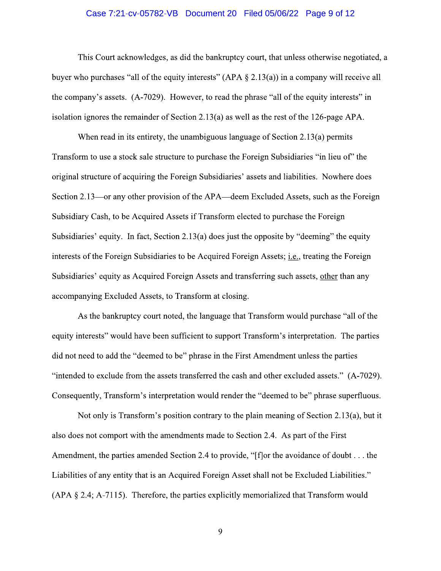## Case 7:21-cv-05782-VB Document 20 Filed 05/06/22 Page 9 of 12

This Court acknowledges, as did the bankruptcy court, that unless otherwise negotiated, a buyer who purchases "all of the equity interests" (APA  $\S$  2.13(a)) in a company will receive all the company's assets. (A-7029). However, to read the phrase "all of the equity interests" in isolation ignores the remainder of Section 2.13(a) as well as the rest of the 126-page APA.

When read in its entirety, the unambiguous language of Section 2.13(a) permits Transform to use a stock sale structure to purchase the Foreign Subsidiaries "in lieu of" the original structure of acquiring the Foreign Subsidiaries' assets and liabilities. Nowhere does Section 2.13—or any other provision of the APA—deem Excluded Assets, such as the Foreign Subsidiary Cash, to be Acquired Assets if Transform elected to purchase the Foreign Subsidiaries' equity. In fact, Section 2.13(a) does just the opposite by "deeming" the equity interests of the Foreign Subsidiaries to be Acquired Foreign Assets; *i.e.*, treating the Foreign Subsidiaries' equity as Acquired Foreign Assets and transferring such assets, other than any accompanying Excluded Assets, to Transform at closing.

As the bankruptcy court noted, the language that Transform would purchase "all of the equity interests" would have been sufficient to support Transform's interpretation. The parties did not need to add the "deemed to be" phrase in the First Amendment unless the parties "intended to exclude from the assets transferred the cash and other excluded assets." (A-7029). Consequently, Transform's interpretation would render the "deemed to be" phrase superfluous.

Not only is Transform's position contrary to the plain meaning of Section 2.13(a), but it also does not comport with the amendments made to Section 2.4. As part of the First Amendment, the parties amended Section 2.4 to provide, "[f] or the avoidance of doubt . . . the Liabilities of any entity that is an Acquired Foreign Asset shall not be Excluded Liabilities."  $(APA § 2.4; A-7115)$ . Therefore, the parties explicitly memorialized that Transform would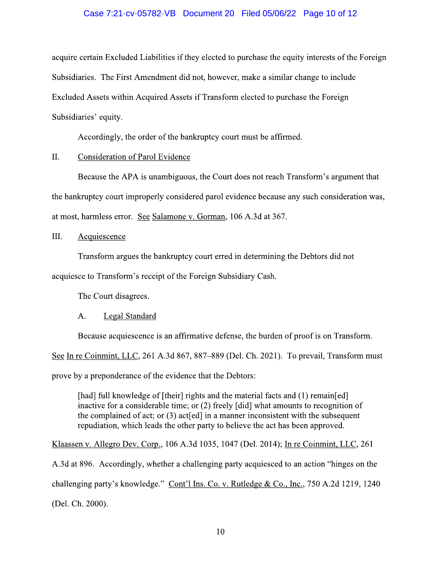## Case 7:21-cv-05782-VB Document 20 Filed 05/06/22 Page 10 of 12

acquire certain Excluded Liabilities if they elected to purchase the equity interests of the Foreign Subsidiaries. The First Amendment did not, however, make a similar change to include Excluded Assets within Acquired Assets if Transform elected to purchase the Foreign Subsidiaries' equity.

Accordingly, the order of the bankruptcy court must be affirmed.

### II. **Consideration of Parol Evidence**

Because the APA is unambiguous, the Court does not reach Transform's argument that the bankruptcy court improperly considered parol evidence because any such consideration was, at most, harmless error. See Salamone v. Gorman, 106 A.3d at 367.

III. Acquiescence

Transform argues the bankruptcy court erred in determining the Debtors did not

acquiesce to Transform's receipt of the Foreign Subsidiary Cash.

The Court disagrees.

### A. Legal Standard

Because acquiescence is an affirmative defense, the burden of proof is on Transform.

See In re Coinmint, LLC, 261 A.3d 867, 887–889 (Del. Ch. 2021). To prevail, Transform must

prove by a preponderance of the evidence that the Debtors:

[had] full knowledge of [their] rights and the material facts and (1) remain[ed] inactive for a considerable time; or (2) freely [did] what amounts to recognition of the complained of act; or  $(3)$  act[ed] in a manner inconsistent with the subsequent repudiation, which leads the other party to believe the act has been approved.

Klaassen v. Allegro Dev. Corp., 106 A.3d 1035, 1047 (Del. 2014); In re Coinmint, LLC, 261

A.3d at 896. Accordingly, whether a challenging party acquiesced to an action "hinges on the challenging party's knowledge." Cont'l Ins. Co. v. Rutledge & Co., Inc., 750 A.2d 1219, 1240 (Del. Ch. 2000).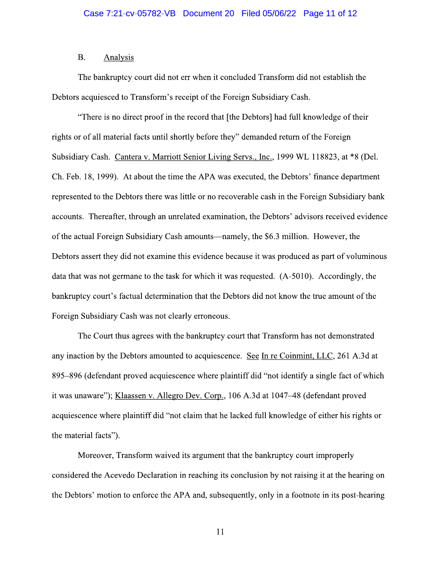#### $B<sub>r</sub>$ **Analysis**

The bankruptcy court did not err when it concluded Transform did not establish the Debtors acquiesced to Transform's receipt of the Foreign Subsidiary Cash.

"There is no direct proof in the record that [the Debtors] had full knowledge of their rights or of all material facts until shortly before they" demanded return of the Foreign Subsidiary Cash. Cantera v. Marriott Senior Living Servs., Inc., 1999 WL 118823, at \*8 (Del. Ch. Feb. 18, 1999). At about the time the APA was executed, the Debtors' finance department represented to the Debtors there was little or no recoverable cash in the Foreign Subsidiary bank accounts. Thereafter, through an unrelated examination, the Debtors' advisors received evidence of the actual Foreign Subsidiary Cash amounts—namely, the \$6.3 million. However, the Debtors assert they did not examine this evidence because it was produced as part of voluminous data that was not germane to the task for which it was requested. (A-5010). Accordingly, the bankruptcy court's factual determination that the Debtors did not know the true amount of the Foreign Subsidiary Cash was not clearly erroneous.

The Court thus agrees with the bankruptcy court that Transform has not demonstrated any inaction by the Debtors amounted to acquiescence. See In re Coinmint, LLC, 261 A.3d at 895–896 (defendant proved acquiescence where plaintiff did "not identify a single fact of which it was unaware"); Klaassen v. Allegro Dev. Corp., 106 A.3d at 1047–48 (defendant proved acquiescence where plaintiff did "not claim that he lacked full knowledge of either his rights or the material facts").

Moreover, Transform waived its argument that the bankruptcy court improperly considered the Acevedo Declaration in reaching its conclusion by not raising it at the hearing on the Debtors' motion to enforce the APA and, subsequently, only in a footnote in its post-hearing